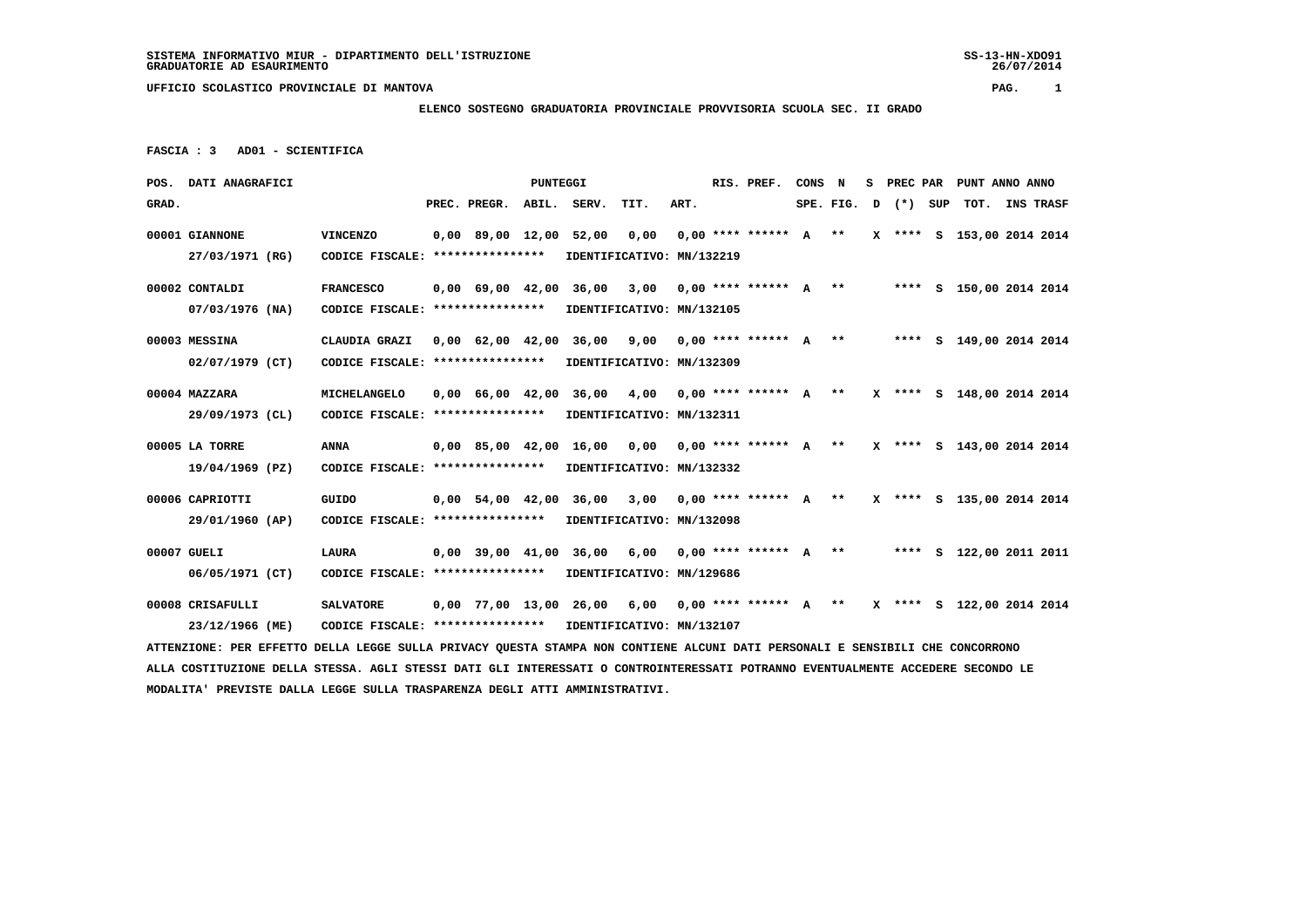**MODALITA' PREVISTE DALLA LEGGE SULLA TRASPARENZA DEGLI ATTI AMMINISTRATIVI.**

 **UFFICIO SCOLASTICO PROVINCIALE DI MANTOVA PAG. 1**

# **ELENCO SOSTEGNO GRADUATORIA PROVINCIALE PROVVISORIA SCUOLA SEC. II GRADO**

```
 FASCIA : 3 AD01 - SCIENTIFICA
```

|       | POS. DATI ANAGRAFICI                                                                                                            |                                   |                                | PUNTEGGI |                                                     |      |      | RIS. PREF.                 | CONS N |             |       |     | S PREC PAR PUNT ANNO ANNO |  |
|-------|---------------------------------------------------------------------------------------------------------------------------------|-----------------------------------|--------------------------------|----------|-----------------------------------------------------|------|------|----------------------------|--------|-------------|-------|-----|---------------------------|--|
| GRAD. |                                                                                                                                 |                                   | PREC. PREGR.                   |          | ABIL. SERV.                                         | TIT. | ART. |                            |        | SPE. FIG. D | $(*)$ | SUP | TOT. INS TRASF            |  |
|       | 00001 GIANNONE                                                                                                                  | <b>VINCENZO</b>                   | 0,00 89,00 12,00 52,00         |          |                                                     | 0,00 |      | $0,00$ **** ****** A **    |        |             |       |     | X **** S 153,00 2014 2014 |  |
|       | 27/03/1971 (RG)                                                                                                                 | CODICE FISCALE: ***************** |                                |          | IDENTIFICATIVO: MN/132219                           |      |      |                            |        |             |       |     |                           |  |
|       | 00002 CONTALDI                                                                                                                  | <b>FRANCESCO</b>                  | $0,00$ 69,00 42,00 36,00       |          |                                                     | 3,00 |      | $0,00$ **** ****** A **    |        |             |       |     | **** S 150,00 2014 2014   |  |
|       | 07/03/1976 (NA)                                                                                                                 | CODICE FISCALE: ***************** |                                |          | IDENTIFICATIVO: MN/132105                           |      |      |                            |        |             |       |     |                           |  |
|       | 00003 MESSINA                                                                                                                   | CLAUDIA GRAZI                     | $0,00$ $62,00$ $42,00$ $36,00$ |          |                                                     | 9,00 |      | $0.00$ **** ****** A **    |        |             |       |     | **** S 149,00 2014 2014   |  |
|       | 02/07/1979 (CT)                                                                                                                 | CODICE FISCALE: ****************  |                                |          | IDENTIFICATIVO: MN/132309                           |      |      |                            |        |             |       |     |                           |  |
|       | 00004 MAZZARA                                                                                                                   | MICHELANGELO                      | $0.00 \t 66.00 \t 42.00$       |          | 36,00                                               | 4,00 |      | $0.00$ **** ****** A **    |        |             |       |     | X **** S 148,00 2014 2014 |  |
|       | 29/09/1973 (CL)                                                                                                                 | CODICE FISCALE: ***************** |                                |          | IDENTIFICATIVO: MN/132311                           |      |      |                            |        |             |       |     |                           |  |
|       | 00005 LA TORRE                                                                                                                  | <b>ANNA</b>                       | $0.00$ 85,00 42,00 16,00       |          |                                                     | 0.00 |      | $0.00********** A***$      |        |             |       |     | X **** S 143,00 2014 2014 |  |
|       | 19/04/1969 (PZ)                                                                                                                 | CODICE FISCALE: ***************** |                                |          | IDENTIFICATIVO: MN/132332                           |      |      |                            |        |             |       |     |                           |  |
|       | 00006 CAPRIOTTI                                                                                                                 | GUIDO                             | $0.00$ 54.00 42.00 36.00       |          |                                                     | 3,00 |      | $0.00$ **** ****** $A$ **  |        |             |       |     | X **** S 135,00 2014 2014 |  |
|       | 29/01/1960 (AP)                                                                                                                 | CODICE FISCALE: ****************  |                                |          | IDENTIFICATIVO: MN/132098                           |      |      |                            |        |             |       |     |                           |  |
|       | 00007 GUELI                                                                                                                     | LAURA                             |                                |          | $0.00$ 39.00 41.00 36.00                            |      |      | 6,00 0,00 **** ****** A ** |        |             |       |     | **** S 122,00 2011 2011   |  |
|       | $06/05/1971$ (CT)                                                                                                               | CODICE FISCALE: ****************  |                                |          | IDENTIFICATIVO: MN/129686                           |      |      |                            |        |             |       |     |                           |  |
|       | 00008 CRISAFULLI                                                                                                                | <b>SALVATORE</b>                  |                                |          | $0,00$ 77,00 13,00 26,00 6,00 0,00 **** ****** A ** |      |      |                            |        |             |       |     | X **** S 122,00 2014 2014 |  |
|       | 23/12/1966 (ME)                                                                                                                 | CODICE FISCALE: ****************  |                                |          | IDENTIFICATIVO: MN/132107                           |      |      |                            |        |             |       |     |                           |  |
|       | ATTENZIONE: PER EFFETTO DELLA LEGGE SULLA PRIVACY QUESTA STAMPA NON CONTIENE ALCUNI DATI PERSONALI E SENSIBILI CHE CONCORRONO   |                                   |                                |          |                                                     |      |      |                            |        |             |       |     |                           |  |
|       | ALLA COSTITUZIONE DELLA STESSA. AGLI STESSI DATI GLI INTERESSATI O CONTROINTERESSATI POTRANNO EVENTUALMENTE ACCEDERE SECONDO LE |                                   |                                |          |                                                     |      |      |                            |        |             |       |     |                           |  |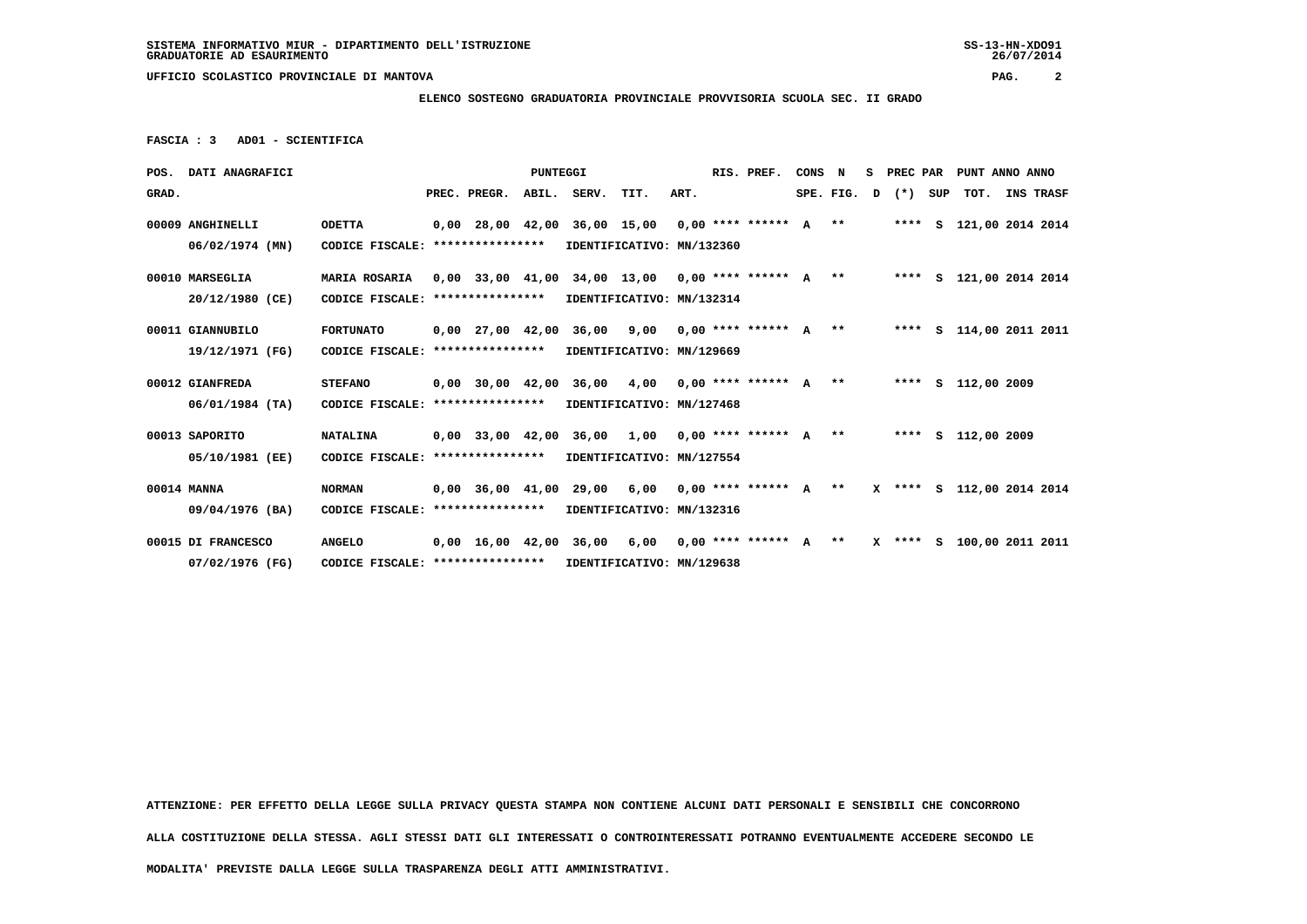#### **ELENCO SOSTEGNO GRADUATORIA PROVINCIALE PROVVISORIA SCUOLA SEC. II GRADO**

 **FASCIA : 3 AD01 - SCIENTIFICA**

|       | POS. DATI ANAGRAFICI |                                                            |              | <b>PUNTEGGI</b> |                                                                               |      |      | RIS. PREF.            | CONS N |  |                         | S PREC PAR PUNT ANNO ANNO |  |
|-------|----------------------|------------------------------------------------------------|--------------|-----------------|-------------------------------------------------------------------------------|------|------|-----------------------|--------|--|-------------------------|---------------------------|--|
| GRAD. |                      |                                                            | PREC. PREGR. |                 | ABIL. SERV.                                                                   | TIT. | ART. |                       |        |  | SPE. FIG. $D$ $(*)$ SUP | TOT. INS TRASF            |  |
|       | 00009 ANGHINELLI     | <b>ODETTA</b>                                              |              |                 | 0,00 28,00 42,00 36,00 15,00 0,00 **** ****** A **                            |      |      |                       |        |  |                         | **** S 121,00 2014 2014   |  |
|       | $06/02/1974$ (MN)    | CODICE FISCALE: ****************                           |              |                 | IDENTIFICATIVO: MN/132360                                                     |      |      |                       |        |  |                         |                           |  |
|       | 00010 MARSEGLIA      | MARIA ROSARIA                                              |              |                 | 0,00 33,00 41,00 34,00 13,00 0,00 **** ****** A **                            |      |      |                       |        |  |                         | **** S 121,00 2014 2014   |  |
|       | 20/12/1980 (CE)      | CODICE FISCALE: ****************                           |              |                 | IDENTIFICATIVO: MN/132314                                                     |      |      |                       |        |  |                         |                           |  |
|       | 00011 GIANNUBILO     | FORTUNATO                                                  |              |                 | 0,00 27,00 42,00 36,00 9,00 0,00 **** ****** A **     **** S 114,00 2011 2011 |      |      |                       |        |  |                         |                           |  |
|       | 19/12/1971 (FG)      | CODICE FISCALE: **************** IDENTIFICATIVO: MN/129669 |              |                 |                                                                               |      |      |                       |        |  |                         |                           |  |
|       | 00012 GIANFREDA      | <b>STEFANO</b>                                             |              |                 | 0,00 30,00 42,00 36,00 4,00 0,00 **** ****** A ** ***** S 112,00 2009         |      |      |                       |        |  |                         |                           |  |
|       | 06/01/1984 (TA)      | CODICE FISCALE: **************** IDENTIFICATIVO: MN/127468 |              |                 |                                                                               |      |      |                       |        |  |                         |                           |  |
|       | 00013 SAPORITO       | <b>NATALINA</b>                                            |              |                 | 0,00 33,00 42,00 36,00 1,00 0,00 **** ****** A **     **** S 112,00 2009      |      |      |                       |        |  |                         |                           |  |
|       | 05/10/1981 (EE)      | CODICE FISCALE: **************** IDENTIFICATIVO: MN/127554 |              |                 |                                                                               |      |      |                       |        |  |                         |                           |  |
|       | 00014 MANNA          | <b>NORMAN</b>                                              |              |                 | 0,00 36,00 41,00 29,00 6,00 0,00 **** ****** A ** X **** S 112,00 2014 2014   |      |      |                       |        |  |                         |                           |  |
|       | 09/04/1976 (BA)      | CODICE FISCALE: **************** IDENTIFICATIVO: MN/132316 |              |                 |                                                                               |      |      |                       |        |  |                         |                           |  |
|       | 00015 DI FRANCESCO   | <b>ANGELO</b>                                              |              |                 | 0,00 16,00 42,00 36,00 6,00                                                   |      |      | $0.00********** A***$ |        |  |                         | X **** S 100,00 2011 2011 |  |
|       | 07/02/1976 (FG)      | CODICE FISCALE: ****************                           |              |                 | IDENTIFICATIVO: MN/129638                                                     |      |      |                       |        |  |                         |                           |  |

 **ATTENZIONE: PER EFFETTO DELLA LEGGE SULLA PRIVACY QUESTA STAMPA NON CONTIENE ALCUNI DATI PERSONALI E SENSIBILI CHE CONCORRONO**

 **ALLA COSTITUZIONE DELLA STESSA. AGLI STESSI DATI GLI INTERESSATI O CONTROINTERESSATI POTRANNO EVENTUALMENTE ACCEDERE SECONDO LE**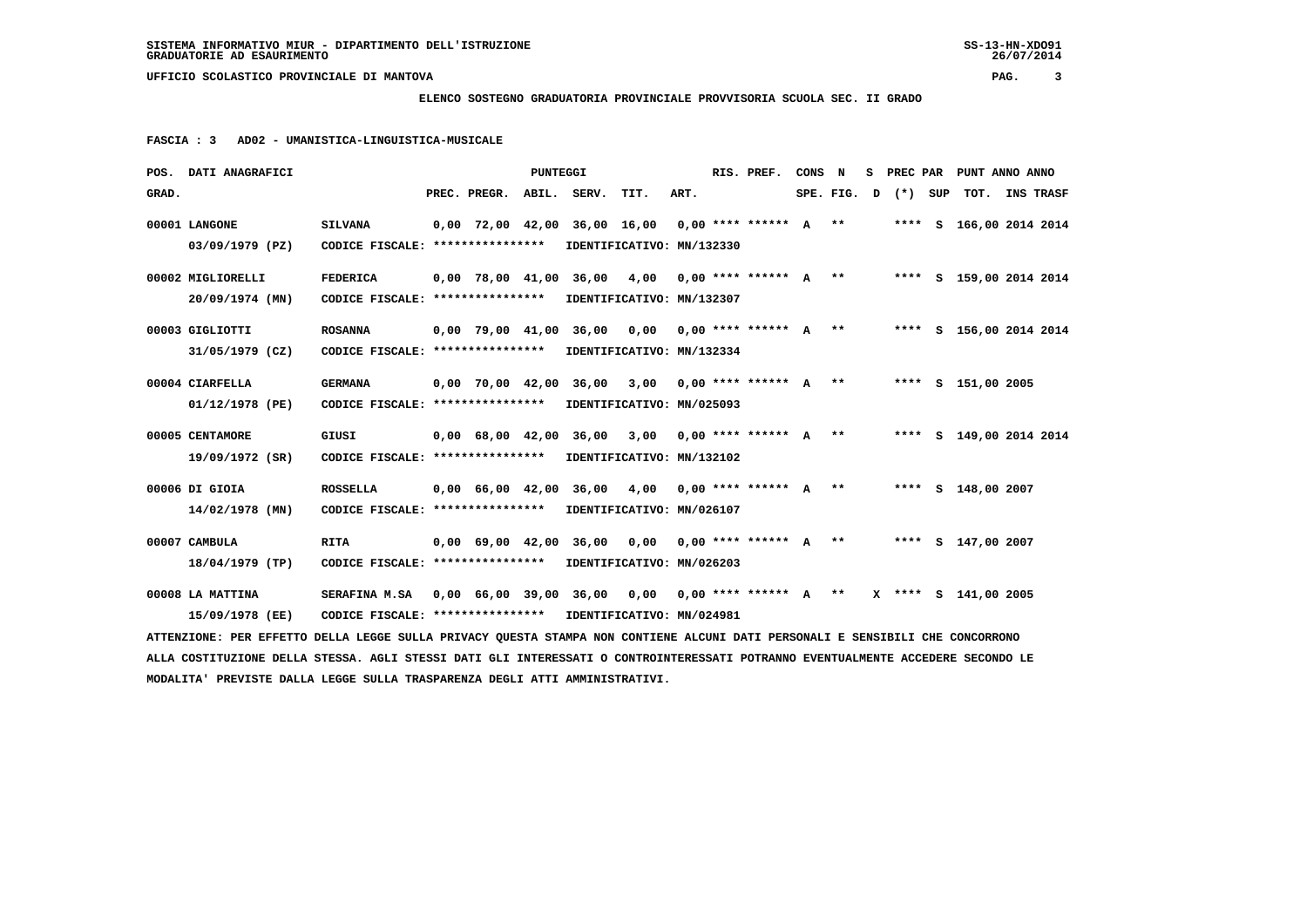# **ELENCO SOSTEGNO GRADUATORIA PROVINCIALE PROVVISORIA SCUOLA SEC. II GRADO**

 **FASCIA : 3 AD02 - UMANISTICA-LINGUISTICA-MUSICALE**

|       | POS. DATI ANAGRAFICI                                                                                                            |                                                                                      |              | <b>PUNTEGGI</b> |                                                                       |      |      | RIS. PREF. | CONS N |  | S PREC PAR              |                    | PUNT ANNO ANNO                                                             |
|-------|---------------------------------------------------------------------------------------------------------------------------------|--------------------------------------------------------------------------------------|--------------|-----------------|-----------------------------------------------------------------------|------|------|------------|--------|--|-------------------------|--------------------|----------------------------------------------------------------------------|
| GRAD. |                                                                                                                                 |                                                                                      | PREC. PREGR. |                 | ABIL. SERV.                                                           | TIT. | ART. |            |        |  | SPE. FIG. $D$ $(*)$ SUP |                    | TOT. INS TRASF                                                             |
|       | 00001 LANGONE                                                                                                                   | <b>SILVANA</b>                                                                       |              |                 | $0,00$ 72,00 42,00 36,00 16,00 0,00 **** ****** A **                  |      |      |            |        |  |                         |                    | **** S 166,00 2014 2014                                                    |
|       | 03/09/1979 (PZ)                                                                                                                 | CODICE FISCALE: **************** IDENTIFICATIVO: MN/132330                           |              |                 |                                                                       |      |      |            |        |  |                         |                    |                                                                            |
|       | 00002 MIGLIORELLI                                                                                                               | <b>FEDERICA</b>                                                                      |              |                 |                                                                       |      |      |            |        |  |                         |                    | 0,00 78,00 41,00 36,00 4,00 0,00 **** ****** A ** ***** S 159,00 2014 2014 |
|       | 20/09/1974 (MN)                                                                                                                 | CODICE FISCALE: **************** IDENTIFICATIVO: MN/132307                           |              |                 |                                                                       |      |      |            |        |  |                         |                    |                                                                            |
|       | 00003 GIGLIOTTI                                                                                                                 | <b>ROSANNA</b>                                                                       |              |                 | 0,00 79,00 41,00 36,00 0,00 0,00 **** ****** A **                     |      |      |            |        |  |                         |                    | **** S 156,00 2014 2014                                                    |
|       | 31/05/1979 (CZ)                                                                                                                 | CODICE FISCALE: **************** IDENTIFICATIVO: MN/132334                           |              |                 |                                                                       |      |      |            |        |  |                         |                    |                                                                            |
|       | 00004 CIARFELLA                                                                                                                 | <b>GERMANA</b>                                                                       |              |                 | 0,00 70,00 42,00 36,00 3,00 0,00 **** ****** A **                     |      |      |            |        |  |                         | **** S 151,00 2005 |                                                                            |
|       | 01/12/1978 (PE)                                                                                                                 | CODICE FISCALE: *****************                                                    |              |                 | IDENTIFICATIVO: MN/025093                                             |      |      |            |        |  |                         |                    |                                                                            |
|       | 00005 CENTAMORE                                                                                                                 | GIUSI                                                                                |              |                 | 0,00 68,00 42,00 36,00 3,00 0,00 **** ****** A **                     |      |      |            |        |  |                         |                    | **** S 149,00 2014 2014                                                    |
|       | 19/09/1972 (SR)                                                                                                                 | CODICE FISCALE: ****************                                                     |              |                 | IDENTIFICATIVO: MN/132102                                             |      |      |            |        |  |                         |                    |                                                                            |
|       | 00006 DI GIOIA                                                                                                                  | <b>ROSSELLA</b>                                                                      |              |                 | 0,00 66,00 42,00 36,00 4,00 0,00 **** ****** A ** ***** S 148,00 2007 |      |      |            |        |  |                         |                    |                                                                            |
|       | 14/02/1978 (MN)                                                                                                                 | CODICE FISCALE: ****************                                                     |              |                 | IDENTIFICATIVO: MN/026107                                             |      |      |            |        |  |                         |                    |                                                                            |
|       | 00007 CAMBULA                                                                                                                   | <b>RITA</b>                                                                          |              |                 | 0,00 69,00 42,00 36,00 0,00 0,00 **** ****** A ** ***** S 147,00 2007 |      |      |            |        |  |                         |                    |                                                                            |
|       | 18/04/1979 (TP)                                                                                                                 | CODICE FISCALE: ****************                                                     |              |                 | IDENTIFICATIVO: MN/026203                                             |      |      |            |        |  |                         |                    |                                                                            |
|       | 00008 LA MATTINA                                                                                                                | SERAFINA M.SA 0,00 66,00 39,00 36,00 0,00 0,00 **** ****** A ** X **** S 141,00 2005 |              |                 |                                                                       |      |      |            |        |  |                         |                    |                                                                            |
|       | 15/09/1978 (EE)                                                                                                                 | CODICE FISCALE: **************** IDENTIFICATIVO: MN/024981                           |              |                 |                                                                       |      |      |            |        |  |                         |                    |                                                                            |
|       | ATTENZIONE: PER EFFETTO DELLA LEGGE SULLA PRIVACY QUESTA STAMPA NON CONTIENE ALCUNI DATI PERSONALI E SENSIBILI CHE CONCORRONO   |                                                                                      |              |                 |                                                                       |      |      |            |        |  |                         |                    |                                                                            |
|       | ALLA COSTITUZIONE DELLA STESSA. AGLI STESSI DATI GLI INTERESSATI O CONTROINTERESSATI POTRANNO EVENTUALMENTE ACCEDERE SECONDO LE |                                                                                      |              |                 |                                                                       |      |      |            |        |  |                         |                    |                                                                            |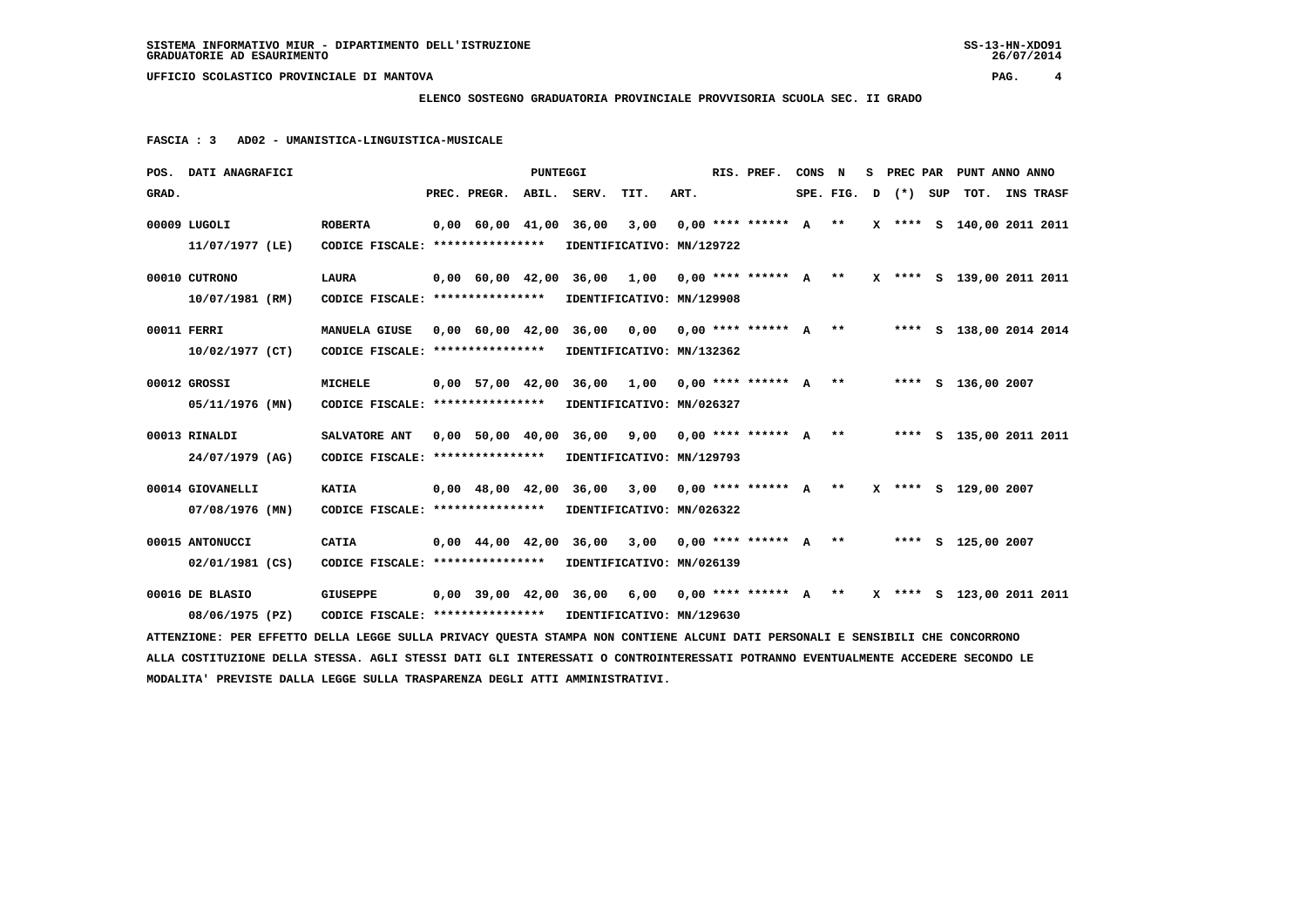# **ELENCO SOSTEGNO GRADUATORIA PROVINCIALE PROVVISORIA SCUOLA SEC. II GRADO**

 **FASCIA : 3 AD02 - UMANISTICA-LINGUISTICA-MUSICALE**

| POS. DATI ANAGRAFICI                                                                                                            |                                                            |                          | PUNTEGGI |                                                                               |      |      | RIS. PREF.                                        | CONS N |  |                      | S PREC PAR PUNT ANNO ANNO |  |
|---------------------------------------------------------------------------------------------------------------------------------|------------------------------------------------------------|--------------------------|----------|-------------------------------------------------------------------------------|------|------|---------------------------------------------------|--------|--|----------------------|---------------------------|--|
| GRAD.                                                                                                                           |                                                            | PREC. PREGR. ABIL. SERV. |          |                                                                               | TIT. | ART. |                                                   |        |  | $SPE.FIG. D (*) SUP$ | TOT. INS TRASF            |  |
|                                                                                                                                 |                                                            |                          |          |                                                                               |      |      |                                                   |        |  |                      |                           |  |
| 00009 LUGOLI                                                                                                                    | <b>ROBERTA</b>                                             | $0,00$ 60,00 41,00 36,00 |          |                                                                               | 3,00 |      | $0.00$ **** ****** A ** X **** S 140.00 2011 2011 |        |  |                      |                           |  |
| 11/07/1977 (LE)                                                                                                                 | CODICE FISCALE: **************** IDENTIFICATIVO: MN/129722 |                          |          |                                                                               |      |      |                                                   |        |  |                      |                           |  |
| 00010 CUTRONO                                                                                                                   | <b>LAURA</b>                                               |                          |          | 0,00 60,00 42,00 36,00 1,00 0,00 **** ****** A ** X **** S 139,00 2011 2011   |      |      |                                                   |        |  |                      |                           |  |
|                                                                                                                                 |                                                            |                          |          |                                                                               |      |      |                                                   |        |  |                      |                           |  |
| 10/07/1981 (RM)                                                                                                                 | CODICE FISCALE: ****************                           |                          |          | IDENTIFICATIVO: MN/129908                                                     |      |      |                                                   |        |  |                      |                           |  |
| 00011 FERRI                                                                                                                     | <b>MANUELA GIUSE</b>                                       |                          |          | 0,00 60,00 42,00 36,00 0,00 0,00 **** ****** A ** * ***** S 138,00 2014 2014  |      |      |                                                   |        |  |                      |                           |  |
| 10/02/1977 (CT)                                                                                                                 | CODICE FISCALE: ****************                           |                          |          | IDENTIFICATIVO: MN/132362                                                     |      |      |                                                   |        |  |                      |                           |  |
|                                                                                                                                 |                                                            |                          |          |                                                                               |      |      |                                                   |        |  |                      |                           |  |
| 00012 GROSSI                                                                                                                    | <b>MICHELE</b>                                             |                          |          | 0,00 57,00 42,00 36,00 1,00 0,00 **** ****** A ** ***** S 136,00 2007         |      |      |                                                   |        |  |                      |                           |  |
| 05/11/1976 (MN)                                                                                                                 | CODICE FISCALE: ****************                           |                          |          | IDENTIFICATIVO: MN/026327                                                     |      |      |                                                   |        |  |                      |                           |  |
|                                                                                                                                 |                                                            |                          |          |                                                                               |      |      |                                                   |        |  |                      |                           |  |
| 00013 RINALDI                                                                                                                   | SALVATORE ANT                                              |                          |          | 0,00 50,00 40,00 36,00 9,00 0,00 **** ****** A ** ***** S 135,00 2011 2011    |      |      |                                                   |        |  |                      |                           |  |
| 24/07/1979 (AG)                                                                                                                 | CODICE FISCALE: *****************                          |                          |          | IDENTIFICATIVO: MN/129793                                                     |      |      |                                                   |        |  |                      |                           |  |
|                                                                                                                                 |                                                            |                          |          |                                                                               |      |      |                                                   |        |  |                      |                           |  |
| 00014 GIOVANELLI                                                                                                                | <b>KATIA</b>                                               |                          |          | 0,00 48,00 42,00 36,00 3,00 0,00 **** ****** A ** X **** S 129,00 2007        |      |      |                                                   |        |  |                      |                           |  |
| $07/08/1976$ (MN)                                                                                                               | CODICE FISCALE: *****************                          |                          |          | IDENTIFICATIVO: MN/026322                                                     |      |      |                                                   |        |  |                      |                           |  |
|                                                                                                                                 |                                                            |                          |          |                                                                               |      |      |                                                   |        |  |                      |                           |  |
| 00015 ANTONUCCI                                                                                                                 | CATIA                                                      |                          |          | $0,00$ 44,00 42,00 36,00 3,00 0,00 **** ****** A ** ***** S 125,00 2007       |      |      |                                                   |        |  |                      |                           |  |
| $02/01/1981$ (CS)                                                                                                               | CODICE FISCALE: **************** IDENTIFICATIVO: MN/026139 |                          |          |                                                                               |      |      |                                                   |        |  |                      |                           |  |
|                                                                                                                                 |                                                            |                          |          |                                                                               |      |      |                                                   |        |  |                      |                           |  |
| 00016 DE BLASIO                                                                                                                 | <b>GIUSEPPE</b>                                            |                          |          | $0,00$ 39,00 42,00 36,00 6,00 0,00 **** ****** A ** X **** S 123,00 2011 2011 |      |      |                                                   |        |  |                      |                           |  |
| 08/06/1975 (PZ)                                                                                                                 | CODICE FISCALE: **************** IDENTIFICATIVO: MN/129630 |                          |          |                                                                               |      |      |                                                   |        |  |                      |                           |  |
| ATTENZIONE: PER EFFETTO DELLA LEGGE SULLA PRIVACY QUESTA STAMPA NON CONTIENE ALCUNI DATI PERSONALI E SENSIBILI CHE CONCORRONO   |                                                            |                          |          |                                                                               |      |      |                                                   |        |  |                      |                           |  |
| ALLA COSTITUZIONE DELLA STESSA. AGLI STESSI DATI GLI INTERESSATI O CONTROINTERESSATI POTRANNO EVENTUALMENTE ACCEDERE SECONDO LE |                                                            |                          |          |                                                                               |      |      |                                                   |        |  |                      |                           |  |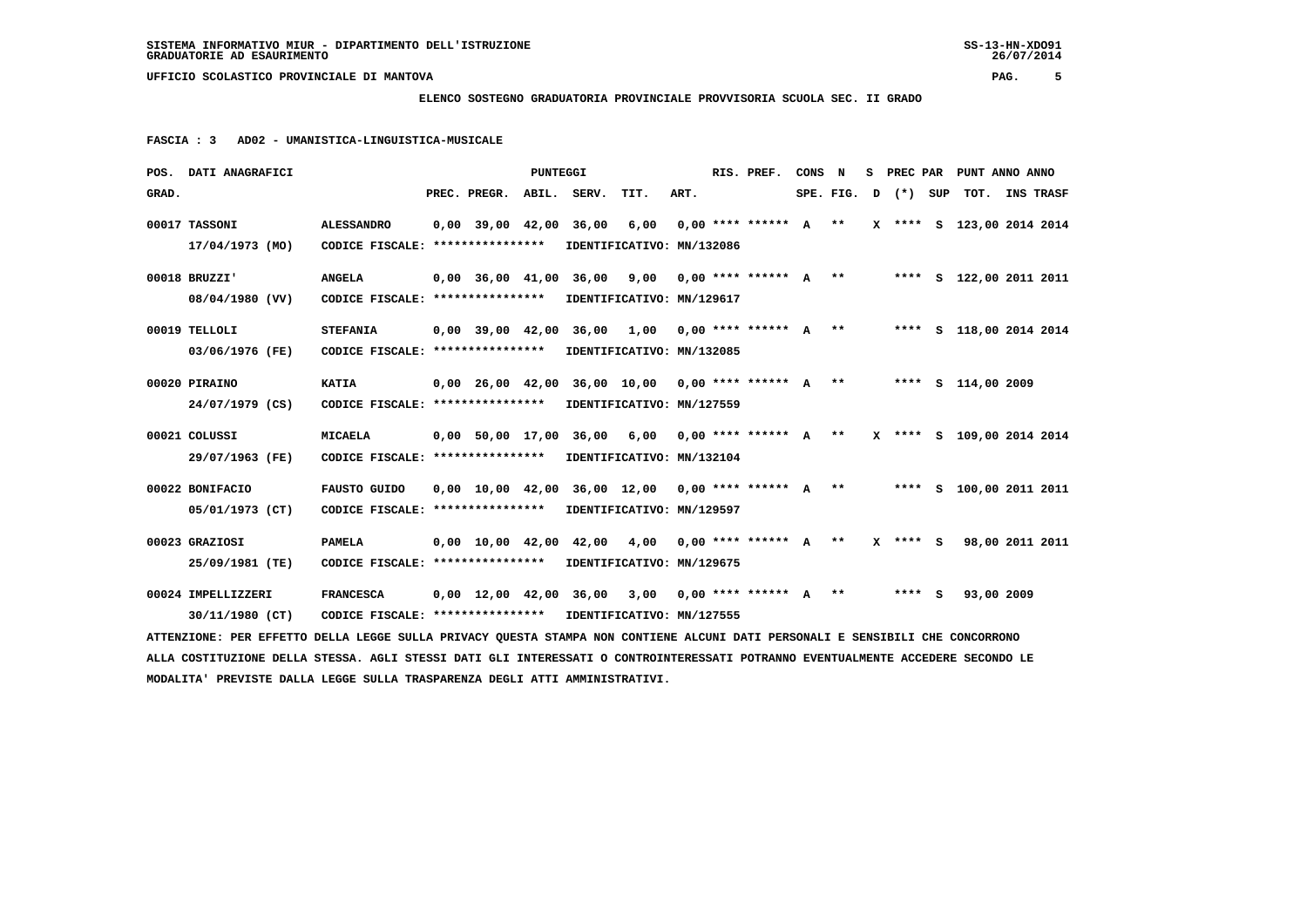## **ELENCO SOSTEGNO GRADUATORIA PROVINCIALE PROVVISORIA SCUOLA SEC. II GRADO**

 **FASCIA : 3 AD02 - UMANISTICA-LINGUISTICA-MUSICALE**

|       | POS. DATI ANAGRAFICI                                                                                                            |                                                            |                                                                             | <b>PUNTEGGI</b> |                           |                           |      | RIS. PREF.             | CONS N |  |                         | S PREC PAR PUNT ANNO ANNO |  |
|-------|---------------------------------------------------------------------------------------------------------------------------------|------------------------------------------------------------|-----------------------------------------------------------------------------|-----------------|---------------------------|---------------------------|------|------------------------|--------|--|-------------------------|---------------------------|--|
| GRAD. |                                                                                                                                 |                                                            | PREC. PREGR.                                                                | ABIL.           | SERV.                     | TIT.                      | ART. |                        |        |  | SPE. FIG. $D$ $(*)$ SUP | TOT. INS TRASF            |  |
|       | 00017 TASSONI                                                                                                                   | <b>ALESSANDRO</b>                                          | $0,00$ 39,00 42,00 36,00                                                    |                 |                           | 6,00                      |      | $0.00*********** A***$ |        |  |                         | X **** S 123,00 2014 2014 |  |
|       | 17/04/1973 (MO)                                                                                                                 | CODICE FISCALE: **************** IDENTIFICATIVO: MN/132086 |                                                                             |                 |                           |                           |      |                        |        |  |                         |                           |  |
|       | 00018 BRUZZI'                                                                                                                   | <b>ANGELA</b>                                              | 0,00 36,00 41,00 36,00 9,00 0,00 **** ****** A ** ***** S 122,00 2011 2011  |                 |                           |                           |      |                        |        |  |                         |                           |  |
|       | 08/04/1980 (VV)                                                                                                                 | CODICE FISCALE: **************** IDENTIFICATIVO: MN/129617 |                                                                             |                 |                           |                           |      |                        |        |  |                         |                           |  |
|       | 00019 TELLOLI                                                                                                                   | <b>STEFANIA</b>                                            | $0,00$ 39,00 42,00 36,00 1,00 0,00 **** ****** A **                         |                 |                           |                           |      |                        |        |  |                         | **** S 118,00 2014 2014   |  |
|       | 03/06/1976 (FE)                                                                                                                 | CODICE FISCALE: *****************                          |                                                                             |                 | IDENTIFICATIVO: MN/132085 |                           |      |                        |        |  |                         |                           |  |
|       | 00020 PIRAINO                                                                                                                   | <b>KATIA</b>                                               | 0,00 26,00 42,00 36,00 10,00 0,00 **** ****** A ** ***** S 114,00 2009      |                 |                           |                           |      |                        |        |  |                         |                           |  |
|       | 24/07/1979 (CS)                                                                                                                 | CODICE FISCALE: ****************                           |                                                                             |                 | IDENTIFICATIVO: MN/127559 |                           |      |                        |        |  |                         |                           |  |
|       | 00021 COLUSSI                                                                                                                   | <b>MICAELA</b>                                             | 0,00 50,00 17,00 36,00 6,00 0,00 **** ****** A ** X **** S 109,00 2014 2014 |                 |                           |                           |      |                        |        |  |                         |                           |  |
|       | 29/07/1963 (FE)                                                                                                                 | CODICE FISCALE: *****************                          |                                                                             |                 | IDENTIFICATIVO: MN/132104 |                           |      |                        |        |  |                         |                           |  |
|       | 00022 BONIFACIO                                                                                                                 | <b>FAUSTO GUIDO</b>                                        | 0,00 10,00 42,00 36,00 12,00 0,00 **** ****** A ** ***** S 100,00 2011 2011 |                 |                           |                           |      |                        |        |  |                         |                           |  |
|       | 05/01/1973 (CT)                                                                                                                 | CODICE FISCALE: ****************                           |                                                                             |                 |                           | IDENTIFICATIVO: MN/129597 |      |                        |        |  |                         |                           |  |
|       | 00023 GRAZIOSI                                                                                                                  | <b>PAMELA</b>                                              | $0,00$ 10,00 42,00 42,00 4,00 0,00 **** ****** A **                         |                 |                           |                           |      |                        |        |  | X **** S                | 98,00 2011 2011           |  |
|       | 25/09/1981 (TE)                                                                                                                 | CODICE FISCALE: *****************                          |                                                                             |                 |                           | IDENTIFICATIVO: MN/129675 |      |                        |        |  |                         |                           |  |
|       | 00024 IMPELLIZZERI                                                                                                              | <b>FRANCESCA</b>                                           | $0,00$ 12,00 42,00 36,00 3,00 0,00 **** ****** A **                         |                 |                           |                           |      |                        |        |  | **** S                  | 93,00 2009                |  |
|       | 30/11/1980 (CT)                                                                                                                 | CODICE FISCALE: **************** IDENTIFICATIVO: MN/127555 |                                                                             |                 |                           |                           |      |                        |        |  |                         |                           |  |
|       | ATTENZIONE: PER EFFETTO DELLA LEGGE SULLA PRIVACY QUESTA STAMPA NON CONTIENE ALCUNI DATI PERSONALI E SENSIBILI CHE CONCORRONO   |                                                            |                                                                             |                 |                           |                           |      |                        |        |  |                         |                           |  |
|       | ALLA COSTITUZIONE DELLA STESSA. AGLI STESSI DATI GLI INTERESSATI O CONTROINTERESSATI POTRANNO EVENTUALMENTE ACCEDERE SECONDO LE |                                                            |                                                                             |                 |                           |                           |      |                        |        |  |                         |                           |  |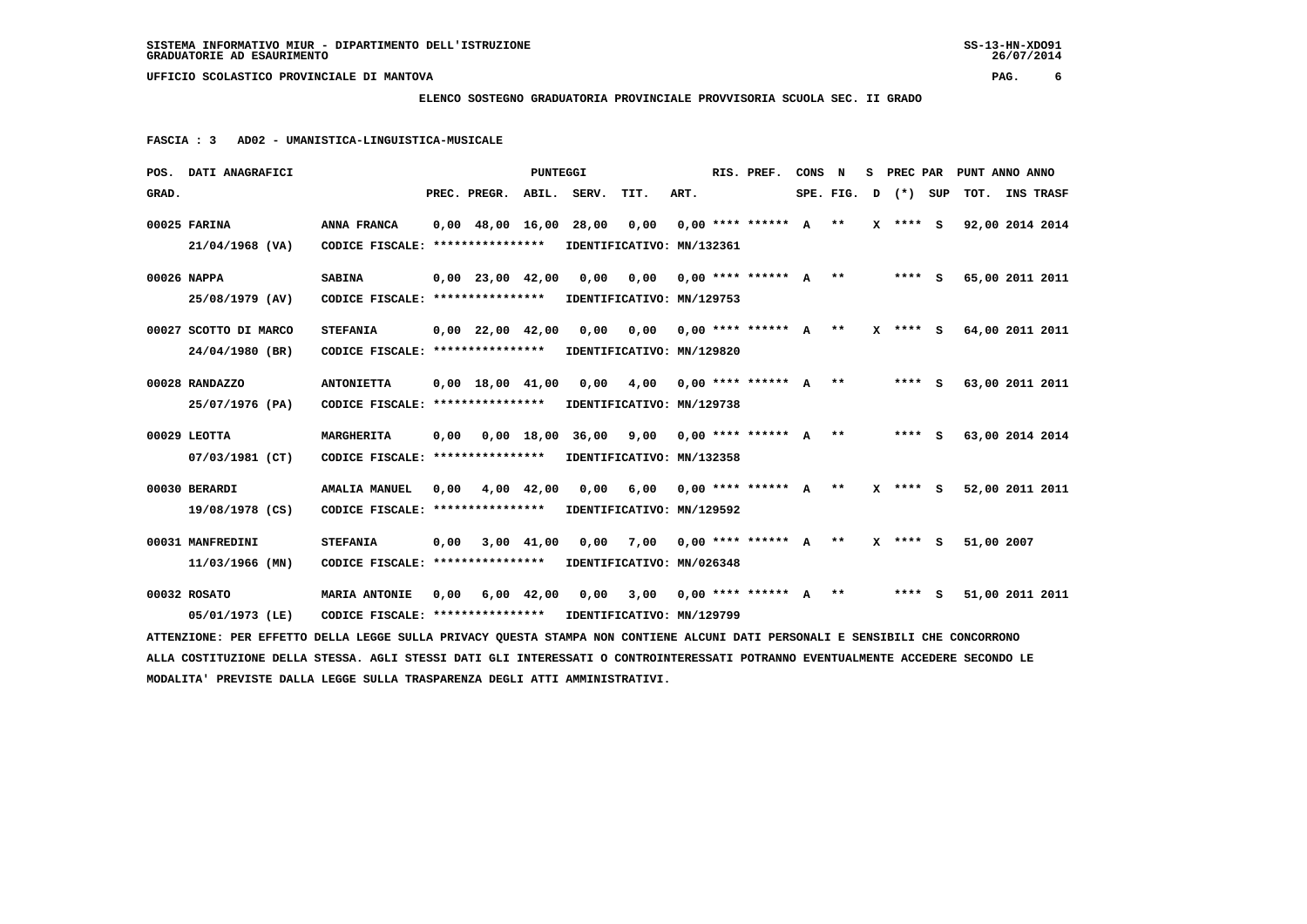## **ELENCO SOSTEGNO GRADUATORIA PROVINCIALE PROVVISORIA SCUOLA SEC. II GRADO**

 **FASCIA : 3 AD02 - UMANISTICA-LINGUISTICA-MUSICALE**

| POS. DATI ANAGRAFICI                                                                                                            |                                                            |                          | PUNTEGGI |                                                                             |                                   |      | RIS. PREF.                | CONS N |  |                      | S PREC PAR PUNT ANNO ANNO |           |  |
|---------------------------------------------------------------------------------------------------------------------------------|------------------------------------------------------------|--------------------------|----------|-----------------------------------------------------------------------------|-----------------------------------|------|---------------------------|--------|--|----------------------|---------------------------|-----------|--|
| GRAD.                                                                                                                           |                                                            | PREC. PREGR. ABIL. SERV. |          |                                                                             | TIT.                              | ART. |                           |        |  | $SPE.FIG. D (*) SUP$ | тот.                      | INS TRASF |  |
| 00025 FARINA                                                                                                                    | ANNA FRANCA                                                | $0,00$ 48,00 16,00 28,00 |          |                                                                             | 0,00                              |      | $0.00$ **** ****** $A$ ** |        |  | X **** S             | 92,00 2014 2014           |           |  |
| 21/04/1968 (VA)                                                                                                                 | CODICE FISCALE: **************** IDENTIFICATIVO: MN/132361 |                          |          |                                                                             |                                   |      |                           |        |  |                      |                           |           |  |
| 00026 NAPPA                                                                                                                     | <b>SABINA</b>                                              |                          |          | 0,00 23,00 42,00 0,00 0,00 0,00 **** ****** A ** ***** S 65,00 2011 2011    |                                   |      |                           |        |  |                      |                           |           |  |
| 25/08/1979 (AV)                                                                                                                 | CODICE FISCALE: **************** IDENTIFICATIVO: MN/129753 |                          |          |                                                                             |                                   |      |                           |        |  |                      |                           |           |  |
| 00027 SCOTTO DI MARCO                                                                                                           | <b>STEFANIA</b>                                            |                          |          | 0,00 22,00 42,00 0,00 0,00 0,00 **** ****** A ** X **** S 64,00 2011 2011   |                                   |      |                           |        |  |                      |                           |           |  |
| 24/04/1980 (BR)                                                                                                                 | CODICE FISCALE: ****************                           |                          |          | IDENTIFICATIVO: MN/129820                                                   |                                   |      |                           |        |  |                      |                           |           |  |
| 00028 RANDAZZO                                                                                                                  | <b>ANTONIETTA</b>                                          |                          |          | $0,00$ 18,00 41,00 0,00 4,00 0,00 **** ****** A ** ****** S 63,00 2011 2011 |                                   |      |                           |        |  |                      |                           |           |  |
| 25/07/1976 (PA)                                                                                                                 | CODICE FISCALE: ****************                           |                          |          | IDENTIFICATIVO: MN/129738                                                   |                                   |      |                           |        |  |                      |                           |           |  |
| $00029$ LEOTTA                                                                                                                  | MARGHERITA                                                 |                          |          |                                                                             |                                   |      |                           |        |  |                      | 63,00 2014 2014           |           |  |
| 07/03/1981 (CT)                                                                                                                 | CODICE FISCALE: **************** IDENTIFICATIVO: MN/132358 |                          |          |                                                                             |                                   |      |                           |        |  |                      |                           |           |  |
| 00030 BERARDI                                                                                                                   | AMALIA MANUEL                                              | 0,00 4,00 42,00          |          |                                                                             | $0.00$ 6.00 0.00 **** ****** A ** |      |                           |        |  | X **** S             | 52,00 2011 2011           |           |  |
| 19/08/1978 (CS)                                                                                                                 | CODICE FISCALE: **************** IDENTIFICATIVO: MN/129592 |                          |          |                                                                             |                                   |      |                           |        |  |                      |                           |           |  |
| 00031 MANFREDINI                                                                                                                | <b>STEFANIA</b>                                            | $0,00$ $3,00$ $41,00$    |          | 0,00 7,00 0,00 **** ****** A ** X **** S                                    |                                   |      |                           |        |  |                      | 51,00 2007                |           |  |
| 11/03/1966 (MN)                                                                                                                 | CODICE FISCALE: **************** IDENTIFICATIVO: MN/026348 |                          |          |                                                                             |                                   |      |                           |        |  |                      |                           |           |  |
| 00032 ROSATO                                                                                                                    | <b>MARIA ANTONIE</b>                                       |                          |          | 0,00 6,00 42,00 0,00 3,00 0,00 **** ****** A **                             |                                   |      |                           |        |  | **** S               | 51,00 2011 2011           |           |  |
| 05/01/1973 (LE)                                                                                                                 | CODICE FISCALE: **************** IDENTIFICATIVO: MN/129799 |                          |          |                                                                             |                                   |      |                           |        |  |                      |                           |           |  |
| ATTENZIONE: PER EFFETTO DELLA LEGGE SULLA PRIVACY QUESTA STAMPA NON CONTIENE ALCUNI DATI PERSONALI E SENSIBILI CHE CONCORRONO   |                                                            |                          |          |                                                                             |                                   |      |                           |        |  |                      |                           |           |  |
| ALLA COSTITUZIONE DELLA STESSA. AGLI STESSI DATI GLI INTERESSATI O CONTROINTERESSATI POTRANNO EVENTUALMENTE ACCEDERE SECONDO LE |                                                            |                          |          |                                                                             |                                   |      |                           |        |  |                      |                           |           |  |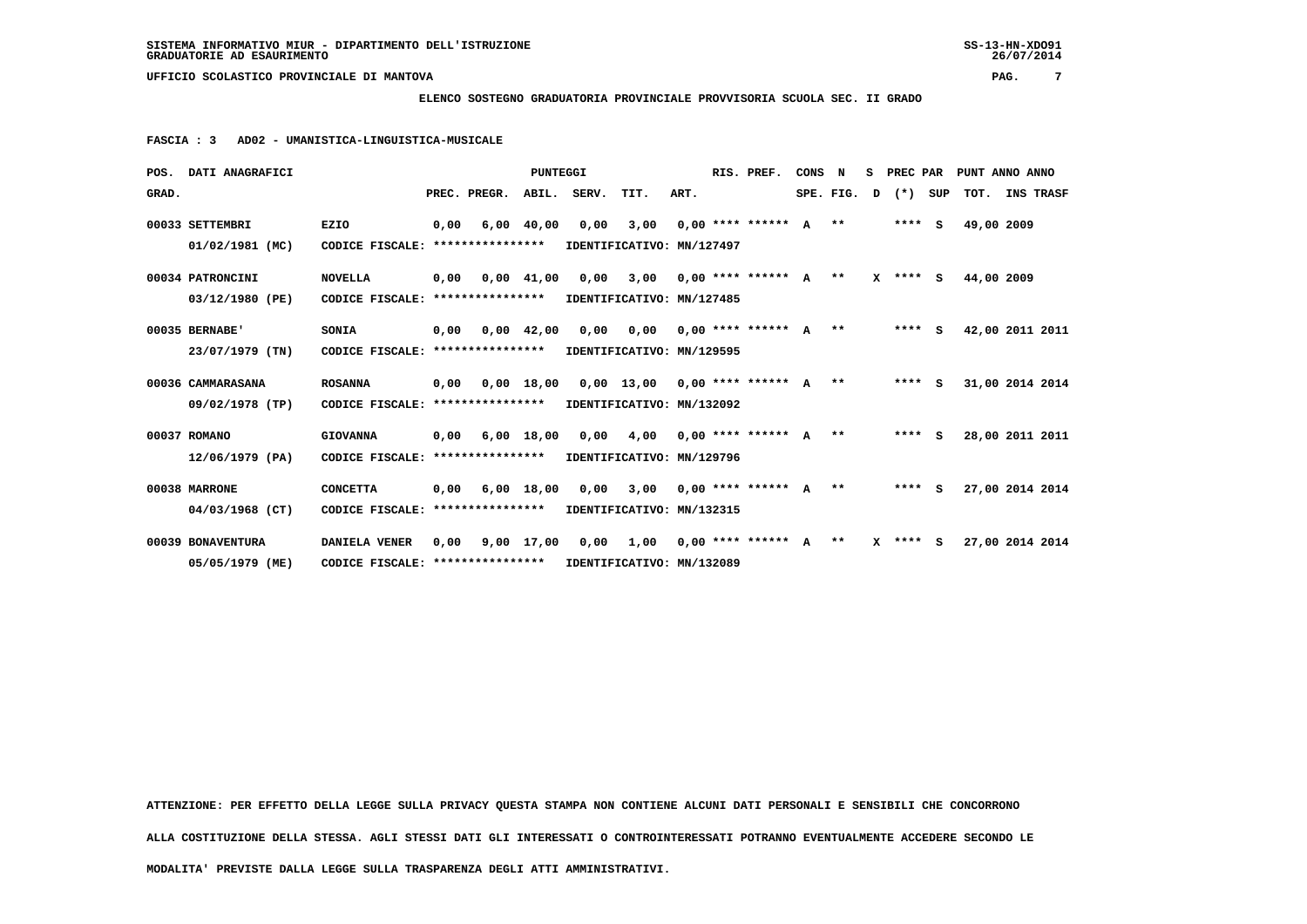# **ELENCO SOSTEGNO GRADUATORIA PROVINCIALE PROVVISORIA SCUOLA SEC. II GRADO**

 **FASCIA : 3 AD02 - UMANISTICA-LINGUISTICA-MUSICALE**

| POS.  | <b>DATI ANAGRAFICI</b> |                                   |      |                       | PUNTEGGI           |                               |      |      | RIS. PREF.           | CONS      | N     | s | PREC PAR   |     |            | PUNT ANNO ANNO  |
|-------|------------------------|-----------------------------------|------|-----------------------|--------------------|-------------------------------|------|------|----------------------|-----------|-------|---|------------|-----|------------|-----------------|
| GRAD. |                        |                                   |      | PREC. PREGR.          | ABIL.              | SERV.                         | TIT. | ART. |                      | SPE. FIG. |       | D | $(*)$      | SUP | TOT.       | INS TRASF       |
|       | 00033 SETTEMBRI        | <b>EZIO</b>                       | 0,00 |                       | $6,00$ 40,00       | 0,00                          | 3,00 |      | $0.00********* A***$ |           |       |   | $***$ S    |     | 49,00 2009 |                 |
|       | $01/02/1981$ (MC)      | CODICE FISCALE: ****************  |      |                       |                    | IDENTIFICATIVO: MN/127497     |      |      |                      |           |       |   |            |     |            |                 |
|       | 00034 PATRONCINI       | <b>NOVELLA</b>                    | 0,00 |                       | $0,00$ 41,00       | 0,00                          | 3,00 |      | $0.00$ **** ****** A |           | $* *$ |   | $X$ **** S |     | 44,00 2009 |                 |
|       | 03/12/1980 (PE)        | CODICE FISCALE: ****************  |      |                       |                    | IDENTIFICATIVO: MN/127485     |      |      |                      |           |       |   |            |     |            |                 |
|       | 00035 BERNABE'         | SONIA                             | 0,00 |                       | $0.00 \quad 42.00$ | 0,00                          | 0,00 |      | $0.00$ **** ****** A |           | $***$ |   | $***$ S    |     |            | 42,00 2011 2011 |
|       | 23/07/1979 (TN)        | CODICE FISCALE: ***************** |      |                       |                    | IDENTIFICATIVO: MN/129595     |      |      |                      |           |       |   |            |     |            |                 |
|       | 00036 CAMMARASANA      | <b>ROSANNA</b>                    | 0,00 |                       | 0,00 18,00         | 0,00 13,00 0,00 **** ****** A |      |      |                      |           | $* *$ |   | $***$ S    |     |            | 31,00 2014 2014 |
|       | 09/02/1978 (TP)        | CODICE FISCALE: ****************  |      |                       |                    | IDENTIFICATIVO: MN/132092     |      |      |                      |           |       |   |            |     |            |                 |
|       | 00037 ROMANO           | <b>GIOVANNA</b>                   |      | $0,00$ 6,00 18,00     |                    | 0,00                          | 4,00 |      | $0.00$ **** ****** A |           | $* *$ |   | $***$ S    |     |            | 28,00 2011 2011 |
|       | 12/06/1979 (PA)        | CODICE FISCALE: ****************  |      |                       |                    | IDENTIFICATIVO: MN/129796     |      |      |                      |           |       |   |            |     |            |                 |
|       | 00038 MARRONE          | <b>CONCETTA</b>                   |      | $0,00$ $6,00$ $18,00$ |                    | 0,00                          | 3,00 |      | $0.00$ **** ****** A |           | $***$ |   | $***$ S    |     |            | 27,00 2014 2014 |
|       | $04/03/1968$ (CT)      | CODICE FISCALE: ****************  |      |                       |                    | IDENTIFICATIVO: MN/132315     |      |      |                      |           |       |   |            |     |            |                 |
|       | 00039 BONAVENTURA      | <b>DANIELA VENER</b>              | 0,00 | 9,00 17,00            |                    | 0,00                          | 1,00 |      | $0.00$ **** ****** A |           | $* *$ |   | $X$ **** S |     |            | 27,00 2014 2014 |
|       | 05/05/1979 (ME)        | CODICE FISCALE: ****************  |      |                       |                    | IDENTIFICATIVO: MN/132089     |      |      |                      |           |       |   |            |     |            |                 |

 **ATTENZIONE: PER EFFETTO DELLA LEGGE SULLA PRIVACY QUESTA STAMPA NON CONTIENE ALCUNI DATI PERSONALI E SENSIBILI CHE CONCORRONO**

 **ALLA COSTITUZIONE DELLA STESSA. AGLI STESSI DATI GLI INTERESSATI O CONTROINTERESSATI POTRANNO EVENTUALMENTE ACCEDERE SECONDO LE**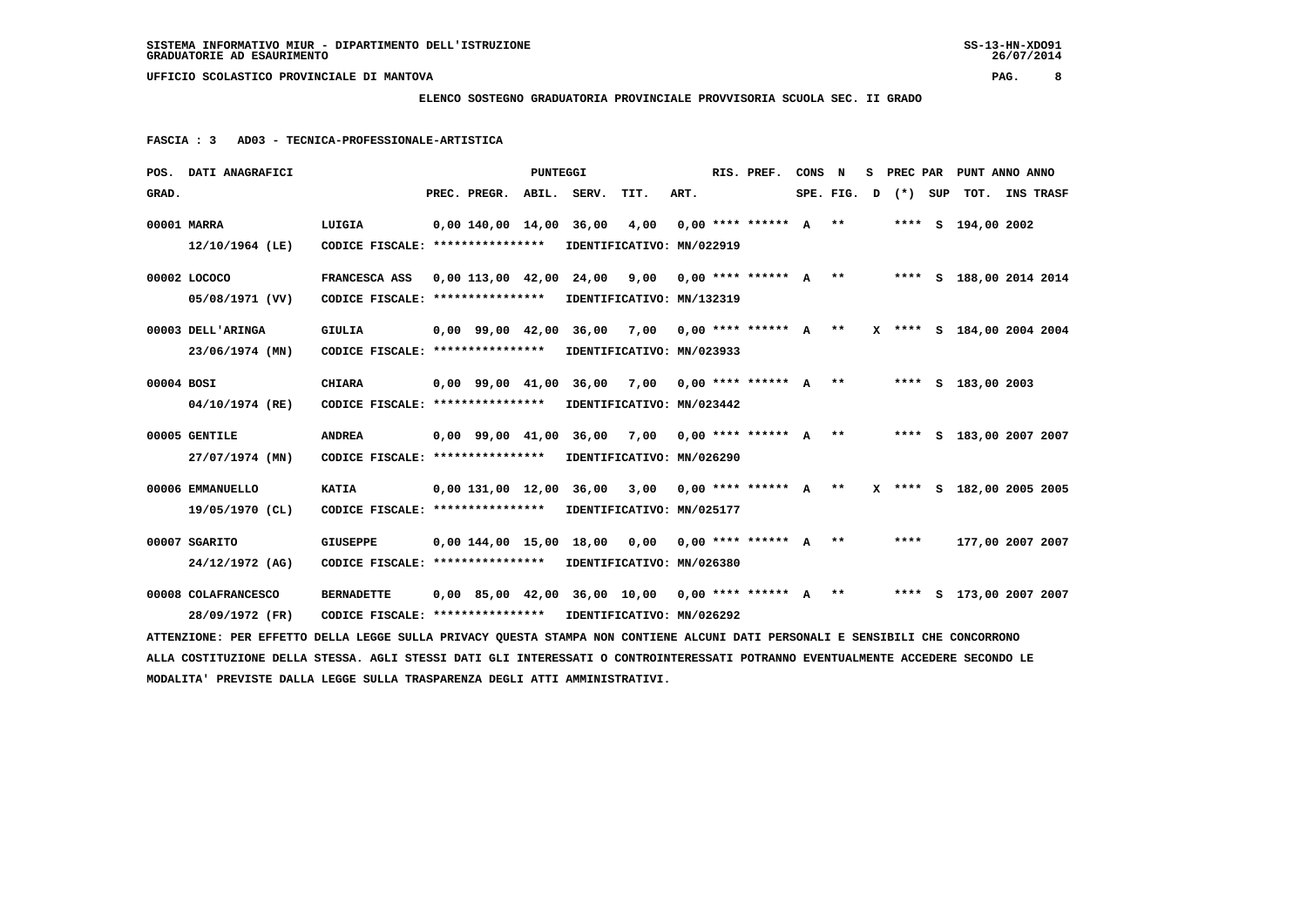## **ELENCO SOSTEGNO GRADUATORIA PROVINCIALE PROVVISORIA SCUOLA SEC. II GRADO**

 **FASCIA : 3 AD03 - TECNICA-PROFESSIONALE-ARTISTICA**

|            | POS. DATI ANAGRAFICI                                                                                                            |                                                            |                         | PUNTEGGI |                                                      |                            |      | RIS. PREF.                                      | CONS | N | s |                      | PREC PAR PUNT ANNO ANNO   |  |
|------------|---------------------------------------------------------------------------------------------------------------------------------|------------------------------------------------------------|-------------------------|----------|------------------------------------------------------|----------------------------|------|-------------------------------------------------|------|---|---|----------------------|---------------------------|--|
| GRAD.      |                                                                                                                                 |                                                            | PREC. PREGR. ABIL.      |          | SERV.                                                | TIT.                       | ART. |                                                 |      |   |   | $SPE.FIG. D (*) SUP$ | TOT. INS TRASF            |  |
|            | 00001 MARRA                                                                                                                     | LUIGIA                                                     | 0,00 140,00 14,00 36,00 |          |                                                      | 4,00                       |      | $0.00$ **** ****** $A$ **                       |      |   |   |                      | **** S 194,00 2002        |  |
|            | 12/10/1964 (LE)                                                                                                                 | CODICE FISCALE: *****************                          |                         |          | IDENTIFICATIVO: MN/022919                            |                            |      |                                                 |      |   |   |                      |                           |  |
|            | 00002 LOCOCO                                                                                                                    | FRANCESCA ASS                                              |                         |          | 0,00 113,00 42,00 24,00 9,00                         |                            |      | 0,00 **** ****** A ** **** S 188,00 2014 2014   |      |   |   |                      |                           |  |
|            | 05/08/1971 (VV)                                                                                                                 | CODICE FISCALE: *****************                          |                         |          | IDENTIFICATIVO: MN/132319                            |                            |      |                                                 |      |   |   |                      |                           |  |
|            | 00003 DELL'ARINGA                                                                                                               | GIULIA                                                     |                         |          | 0,00 99,00 42,00 36,00 7,00                          |                            |      | 0,00 **** ****** A ** X **** S 184,00 2004 2004 |      |   |   |                      |                           |  |
|            | 23/06/1974 (MN)                                                                                                                 | CODICE FISCALE: *****************                          |                         |          | IDENTIFICATIVO: MN/023933                            |                            |      |                                                 |      |   |   |                      |                           |  |
| 00004 BOSI |                                                                                                                                 | <b>CHIARA</b>                                              | 0,00 99,00 41,00 36,00  |          |                                                      | 7,00                       |      | $0,00$ **** ****** $A$ **                       |      |   |   |                      | **** S 183,00 2003        |  |
|            | 04/10/1974 (RE)                                                                                                                 | CODICE FISCALE: ****************                           |                         |          | IDENTIFICATIVO: MN/023442                            |                            |      |                                                 |      |   |   |                      |                           |  |
|            | 00005 GENTILE                                                                                                                   | <b>ANDREA</b>                                              | 0,00 99,00 41,00 36,00  |          |                                                      | 7,00 0,00 **** ****** A ** |      |                                                 |      |   |   |                      | **** S 183,00 2007 2007   |  |
|            | 27/07/1974 (MN)                                                                                                                 | CODICE FISCALE: *****************                          |                         |          | IDENTIFICATIVO: MN/026290                            |                            |      |                                                 |      |   |   |                      |                           |  |
|            | 00006 EMMANUELLO                                                                                                                | <b>KATIA</b>                                               | 0,00 131,00 12,00 36,00 |          |                                                      |                            |      | 3,00 0,00 **** ****** A **                      |      |   |   |                      | X **** S 182,00 2005 2005 |  |
|            | 19/05/1970 (CL)                                                                                                                 | CODICE FISCALE: *****************                          |                         |          | IDENTIFICATIVO: MN/025177                            |                            |      |                                                 |      |   |   |                      |                           |  |
|            | 00007 SGARITO                                                                                                                   | <b>GIUSEPPE</b>                                            |                         |          | 0,00 144,00 15,00 18,00 0,00                         |                            |      | $0.00$ **** ****** $A$ **                       |      |   |   | ****                 | 177,00 2007 2007          |  |
|            | 24/12/1972 (AG)                                                                                                                 | CODICE FISCALE: *****************                          |                         |          | IDENTIFICATIVO: MN/026380                            |                            |      |                                                 |      |   |   |                      |                           |  |
|            | 00008 COLAFRANCESCO                                                                                                             | <b>BERNADETTE</b>                                          |                         |          | $0.00$ 85.00 42.00 36.00 10.00 0.00 **** ****** A ** |                            |      |                                                 |      |   |   |                      | **** S 173,00 2007 2007   |  |
|            | 28/09/1972 (FR)                                                                                                                 | CODICE FISCALE: **************** IDENTIFICATIVO: MN/026292 |                         |          |                                                      |                            |      |                                                 |      |   |   |                      |                           |  |
|            | ATTENZIONE: PER EFFETTO DELLA LEGGE SULLA PRIVACY QUESTA STAMPA NON CONTIENE ALCUNI DATI PERSONALI E SENSIBILI CHE CONCORRONO   |                                                            |                         |          |                                                      |                            |      |                                                 |      |   |   |                      |                           |  |
|            | ALLA COSTITUZIONE DELLA STESSA. AGLI STESSI DATI GLI INTERESSATI O CONTROINTERESSATI POTRANNO EVENTUALMENTE ACCEDERE SECONDO LE |                                                            |                         |          |                                                      |                            |      |                                                 |      |   |   |                      |                           |  |
|            | MODALITA' PREVISTE DALLA LEGGE SULLA TRASPARENZA DEGLI ATTI AMMINISTRATIVI.                                                     |                                                            |                         |          |                                                      |                            |      |                                                 |      |   |   |                      |                           |  |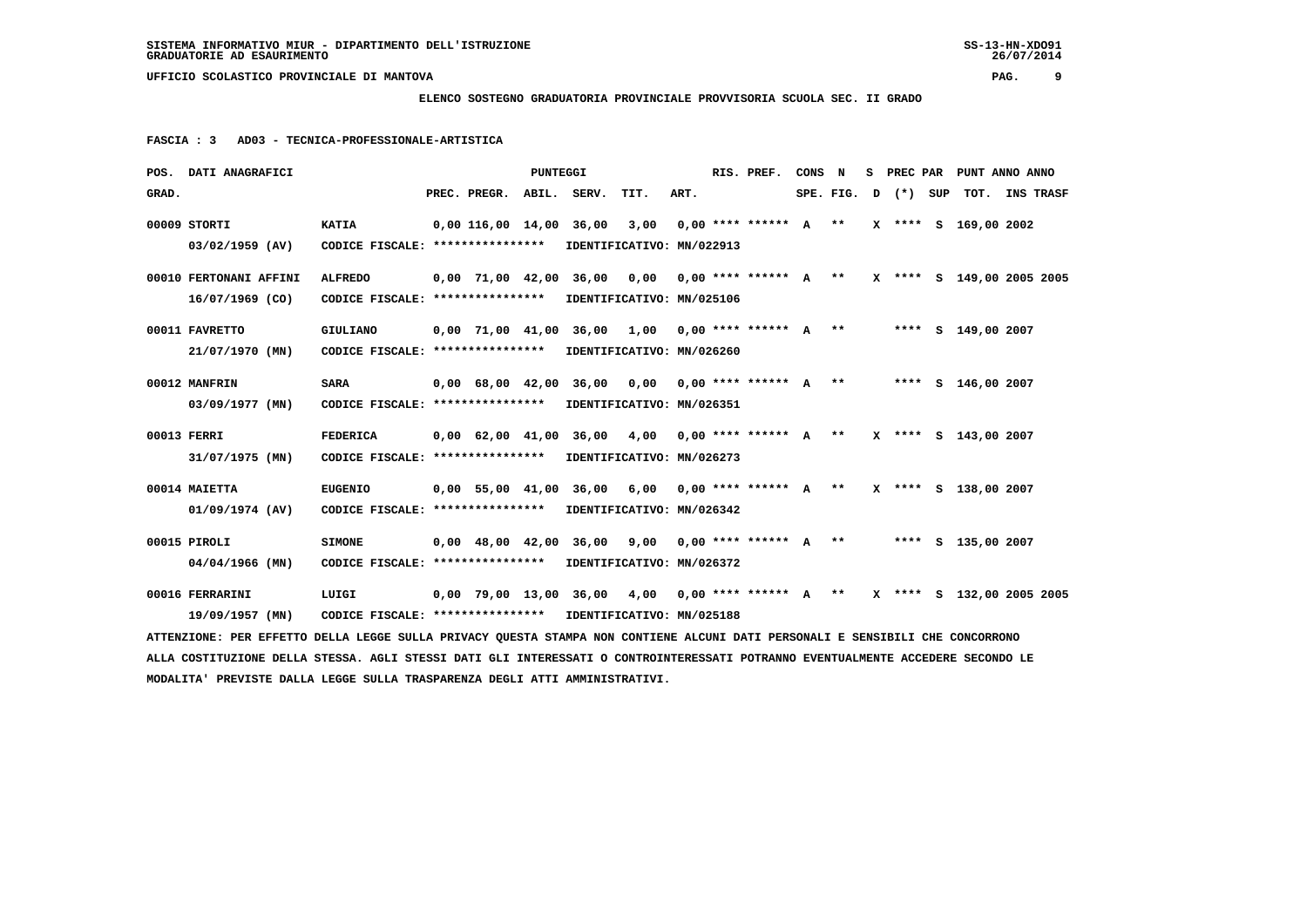# **ELENCO SOSTEGNO GRADUATORIA PROVINCIALE PROVVISORIA SCUOLA SEC. II GRADO**

 **FASCIA : 3 AD03 - TECNICA-PROFESSIONALE-ARTISTICA**

|       | POS. DATI ANAGRAFICI                                                                                                            |                                                            |                          | PUNTEGGI |                         |                                                                             |      | RIS. PREF.                | CONS N |  |                       | S PREC PAR PUNT ANNO ANNO |  |
|-------|---------------------------------------------------------------------------------------------------------------------------------|------------------------------------------------------------|--------------------------|----------|-------------------------|-----------------------------------------------------------------------------|------|---------------------------|--------|--|-----------------------|---------------------------|--|
| GRAD. |                                                                                                                                 |                                                            | PREC. PREGR. ABIL. SERV. |          |                         | TIT.                                                                        | ART. |                           |        |  | $SPE. FIG. D (*) SUP$ | TOT. INS TRASF            |  |
|       | 00009 STORTI                                                                                                                    | <b>KATIA</b>                                               |                          |          | 0,00 116,00 14,00 36,00 | 3,00                                                                        |      | $0,00$ **** ****** $A$ ** |        |  |                       | X **** S 169,00 2002      |  |
|       | 03/02/1959 (AV)                                                                                                                 | CODICE FISCALE: **************** IDENTIFICATIVO: MN/022913 |                          |          |                         |                                                                             |      |                           |        |  |                       |                           |  |
|       | 00010 FERTONANI AFFINI                                                                                                          | <b>ALFREDO</b>                                             |                          |          |                         | 0,00 71,00 42,00 36,00 0,00 0,00 **** ****** A ** X **** S 149,00 2005 2005 |      |                           |        |  |                       |                           |  |
|       | $16/07/1969$ (CO)                                                                                                               | CODICE FISCALE: ****************                           |                          |          |                         | IDENTIFICATIVO: MN/025106                                                   |      |                           |        |  |                       |                           |  |
|       | 00011 FAVRETTO                                                                                                                  | <b>GIULIANO</b>                                            |                          |          |                         | $0,00$ 71,00 41,00 36,00 1,00 0,00 **** ****** A **                         |      |                           |        |  |                       | **** S 149,00 2007        |  |
|       | 21/07/1970 (MN)                                                                                                                 | CODICE FISCALE: **************** IDENTIFICATIVO: MN/026260 |                          |          |                         |                                                                             |      |                           |        |  |                       |                           |  |
|       | 00012 MANFRIN                                                                                                                   | <b>SARA</b>                                                |                          |          |                         | 0,00 68,00 42,00 36,00 0,00 0,00 **** ****** A ** ***** S 146,00 2007       |      |                           |        |  |                       |                           |  |
|       | 03/09/1977 (MN)                                                                                                                 | CODICE FISCALE: **************** IDENTIFICATIVO: MN/026351 |                          |          |                         |                                                                             |      |                           |        |  |                       |                           |  |
|       | 00013 FERRI                                                                                                                     | <b>FEDERICA</b>                                            |                          |          |                         | $0,00$ 62,00 41,00 36,00 4,00 0,00 **** ****** A **                         |      |                           |        |  |                       | X **** S 143,00 2007      |  |
|       | 31/07/1975 (MN)                                                                                                                 | CODICE FISCALE: *****************                          |                          |          |                         | IDENTIFICATIVO: MN/026273                                                   |      |                           |        |  |                       |                           |  |
|       | 00014 MAIETTA                                                                                                                   | <b>EUGENIO</b>                                             |                          |          |                         | $0,00$ 55,00 41,00 36,00 6,00 0,00 **** ****** A **                         |      |                           |        |  |                       | X **** S 138,00 2007      |  |
|       | 01/09/1974 (AV)                                                                                                                 | CODICE FISCALE: *****************                          |                          |          |                         | IDENTIFICATIVO: MN/026342                                                   |      |                           |        |  |                       |                           |  |
|       | 00015 PIROLI                                                                                                                    | <b>SIMONE</b>                                              |                          |          |                         | 0,00 48,00 42,00 36,00 9,00 0,00 **** ****** A ** ***** S 135,00 2007       |      |                           |        |  |                       |                           |  |
|       | 04/04/1966 (MN)                                                                                                                 | CODICE FISCALE: *****************                          |                          |          |                         | IDENTIFICATIVO: MN/026372                                                   |      |                           |        |  |                       |                           |  |
|       | 00016 FERRARINI                                                                                                                 | LUIGI                                                      |                          |          |                         | 0,00 79,00 13,00 36,00 4,00 0,00 **** ****** A ** X **** S 132,00 2005 2005 |      |                           |        |  |                       |                           |  |
|       | 19/09/1957 (MN)                                                                                                                 | CODICE FISCALE: **************** IDENTIFICATIVO: MN/025188 |                          |          |                         |                                                                             |      |                           |        |  |                       |                           |  |
|       | ATTENZIONE: PER EFFETTO DELLA LEGGE SULLA PRIVACY QUESTA STAMPA NON CONTIENE ALCUNI DATI PERSONALI E SENSIBILI CHE CONCORRONO   |                                                            |                          |          |                         |                                                                             |      |                           |        |  |                       |                           |  |
|       | ALLA COSTITUZIONE DELLA STESSA. AGLI STESSI DATI GLI INTERESSATI O CONTROINTERESSATI POTRANNO EVENTUALMENTE ACCEDERE SECONDO LE |                                                            |                          |          |                         |                                                                             |      |                           |        |  |                       |                           |  |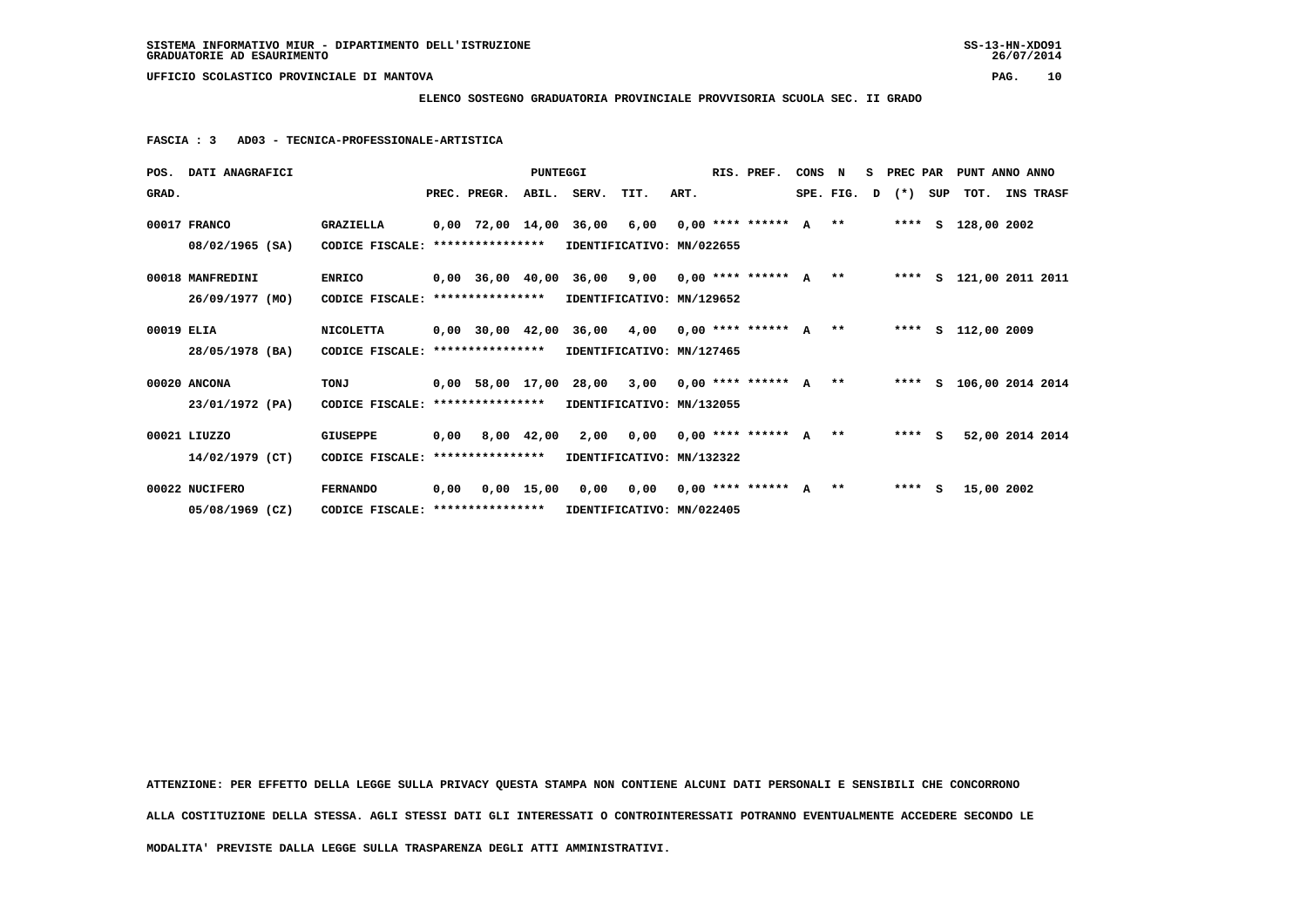**ELENCO SOSTEGNO GRADUATORIA PROVINCIALE PROVVISORIA SCUOLA SEC. II GRADO**

 **FASCIA : 3 AD03 - TECNICA-PROFESSIONALE-ARTISTICA**

|            | POS. DATI ANAGRAFICI |                                                            |              | PUNTEGGI |                                                                               |      |      | RIS. PREF. | CONS N |  |                     |     | S PREC PAR PUNT ANNO ANNO |                 |  |
|------------|----------------------|------------------------------------------------------------|--------------|----------|-------------------------------------------------------------------------------|------|------|------------|--------|--|---------------------|-----|---------------------------|-----------------|--|
| GRAD.      |                      |                                                            | PREC. PREGR. |          | ABIL. SERV.                                                                   | TIT. | ART. |            |        |  | SPE. FIG. $D$ $(*)$ | SUP | TOT. INS TRASF            |                 |  |
|            | 00017 FRANCO         | <b>GRAZIELLA</b>                                           |              |          | 0,00 72,00 14,00 36,00 6,00 0,00 **** ****** A  **    **** S 128,00 2002      |      |      |            |        |  |                     |     |                           |                 |  |
|            | 08/02/1965 (SA)      | CODICE FISCALE: ****************                           |              |          | IDENTIFICATIVO: MN/022655                                                     |      |      |            |        |  |                     |     |                           |                 |  |
|            | 00018 MANFREDINI     | <b>ENRICO</b>                                              |              |          | 0,00 36,00 40,00 36,00  9,00  0,00 **** ******  A  **                         |      |      |            |        |  |                     |     | **** S 121,00 2011 2011   |                 |  |
|            | 26/09/1977 (MO)      | CODICE FISCALE: ****************                           |              |          | IDENTIFICATIVO: MN/129652                                                     |      |      |            |        |  |                     |     |                           |                 |  |
| 00019 ELIA |                      | NICOLETTA                                                  |              |          | 0,00 30,00 42,00 36,00 4,00 0,00 **** ****** A **                             |      |      |            |        |  |                     |     | **** S 112,00 2009        |                 |  |
|            | 28/05/1978 (BA)      | CODICE FISCALE: **************** IDENTIFICATIVO: MN/127465 |              |          |                                                                               |      |      |            |        |  |                     |     |                           |                 |  |
|            | 00020 ANCONA         | TONJ                                                       |              |          | 0,00 58,00 17,00 28,00 3,00 0,00 **** ****** A **     **** S 106,00 2014 2014 |      |      |            |        |  |                     |     |                           |                 |  |
|            | 23/01/1972 (PA)      | CODICE FISCALE: ****************                           |              |          | IDENTIFICATIVO: MN/132055                                                     |      |      |            |        |  |                     |     |                           |                 |  |
|            | 00021 LIUZZO         | <b>GIUSEPPE</b>                                            |              |          | 0,00 8,00 42,00 2,00 0,00 0,00 **** ****** A ** ***** S                       |      |      |            |        |  |                     |     |                           | 52,00 2014 2014 |  |
|            | 14/02/1979 (CT)      | CODICE FISCALE: *****************                          |              |          | IDENTIFICATIVO: MN/132322                                                     |      |      |            |        |  |                     |     |                           |                 |  |
|            | 00022 NUCIFERO       | <b>FERNANDO</b>                                            |              |          | $0,00$ $0,00$ $15,00$ $0,00$ $0,00$ $0,00$ $***$ *** ****** A **              |      |      |            |        |  | $***$ S             |     | 15,00 2002                |                 |  |
|            | 05/08/1969 (CZ)      | CODICE FISCALE: *****************                          |              |          | IDENTIFICATIVO: MN/022405                                                     |      |      |            |        |  |                     |     |                           |                 |  |

 **ATTENZIONE: PER EFFETTO DELLA LEGGE SULLA PRIVACY QUESTA STAMPA NON CONTIENE ALCUNI DATI PERSONALI E SENSIBILI CHE CONCORRONO ALLA COSTITUZIONE DELLA STESSA. AGLI STESSI DATI GLI INTERESSATI O CONTROINTERESSATI POTRANNO EVENTUALMENTE ACCEDERE SECONDO LE MODALITA' PREVISTE DALLA LEGGE SULLA TRASPARENZA DEGLI ATTI AMMINISTRATIVI.**